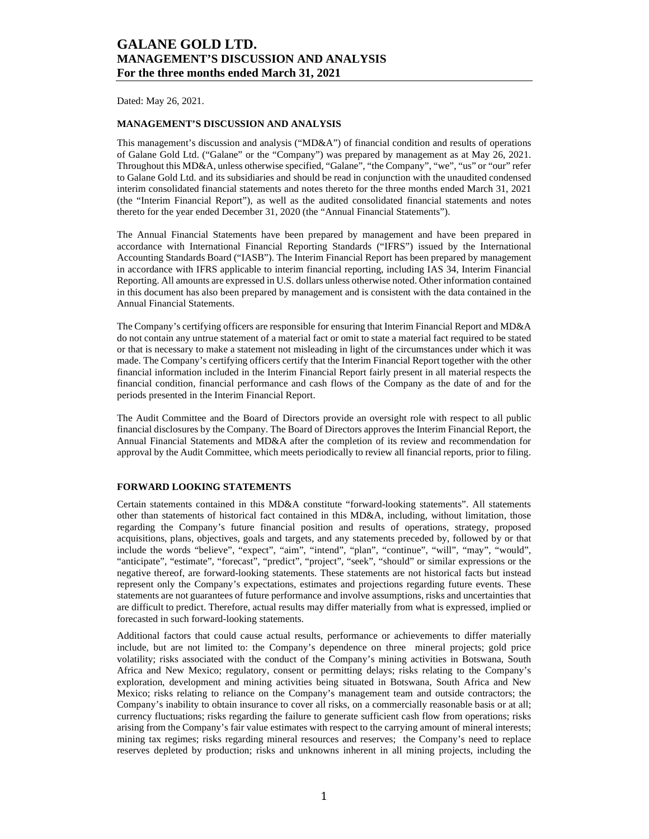Dated: May 26, 2021.

## **MANAGEMENT'S DISCUSSION AND ANALYSIS**

This management's discussion and analysis ("MD&A") of financial condition and results of operations of Galane Gold Ltd. ("Galane" or the "Company") was prepared by management as at May 26, 2021. Throughout this MD&A, unless otherwise specified, "Galane", "the Company", "we", "us" or "our" refer to Galane Gold Ltd. and its subsidiaries and should be read in conjunction with the unaudited condensed interim consolidated financial statements and notes thereto for the three months ended March 31, 2021 (the "Interim Financial Report"), as well as the audited consolidated financial statements and notes thereto for the year ended December 31, 2020 (the "Annual Financial Statements").

The Annual Financial Statements have been prepared by management and have been prepared in accordance with International Financial Reporting Standards ("IFRS") issued by the International Accounting Standards Board ("IASB"). The Interim Financial Report has been prepared by management in accordance with IFRS applicable to interim financial reporting, including IAS 34, Interim Financial Reporting. All amounts are expressed in U.S. dollars unless otherwise noted. Other information contained in this document has also been prepared by management and is consistent with the data contained in the Annual Financial Statements.

The Company's certifying officers are responsible for ensuring that Interim Financial Report and MD&A do not contain any untrue statement of a material fact or omit to state a material fact required to be stated or that is necessary to make a statement not misleading in light of the circumstances under which it was made. The Company's certifying officers certify that the Interim Financial Report together with the other financial information included in the Interim Financial Report fairly present in all material respects the financial condition, financial performance and cash flows of the Company as the date of and for the periods presented in the Interim Financial Report.

The Audit Committee and the Board of Directors provide an oversight role with respect to all public financial disclosures by the Company. The Board of Directors approves the Interim Financial Report, the Annual Financial Statements and MD&A after the completion of its review and recommendation for approval by the Audit Committee, which meets periodically to review all financial reports, prior to filing.

### **FORWARD LOOKING STATEMENTS**

Certain statements contained in this MD&A constitute "forward-looking statements". All statements other than statements of historical fact contained in this MD&A, including, without limitation, those regarding the Company's future financial position and results of operations, strategy, proposed acquisitions, plans, objectives, goals and targets, and any statements preceded by, followed by or that include the words "believe", "expect", "aim", "intend", "plan", "continue", "will", "may", "would", "anticipate", "estimate", "forecast", "predict", "project", "seek", "should" or similar expressions or the negative thereof, are forward-looking statements. These statements are not historical facts but instead represent only the Company's expectations, estimates and projections regarding future events. These statements are not guarantees of future performance and involve assumptions, risks and uncertainties that are difficult to predict. Therefore, actual results may differ materially from what is expressed, implied or forecasted in such forward-looking statements.

Additional factors that could cause actual results, performance or achievements to differ materially include, but are not limited to: the Company's dependence on three mineral projects; gold price volatility; risks associated with the conduct of the Company's mining activities in Botswana, South Africa and New Mexico; regulatory, consent or permitting delays; risks relating to the Company's exploration, development and mining activities being situated in Botswana, South Africa and New Mexico; risks relating to reliance on the Company's management team and outside contractors; the Company's inability to obtain insurance to cover all risks, on a commercially reasonable basis or at all; currency fluctuations; risks regarding the failure to generate sufficient cash flow from operations; risks arising from the Company's fair value estimates with respect to the carrying amount of mineral interests; mining tax regimes; risks regarding mineral resources and reserves; the Company's need to replace reserves depleted by production; risks and unknowns inherent in all mining projects, including the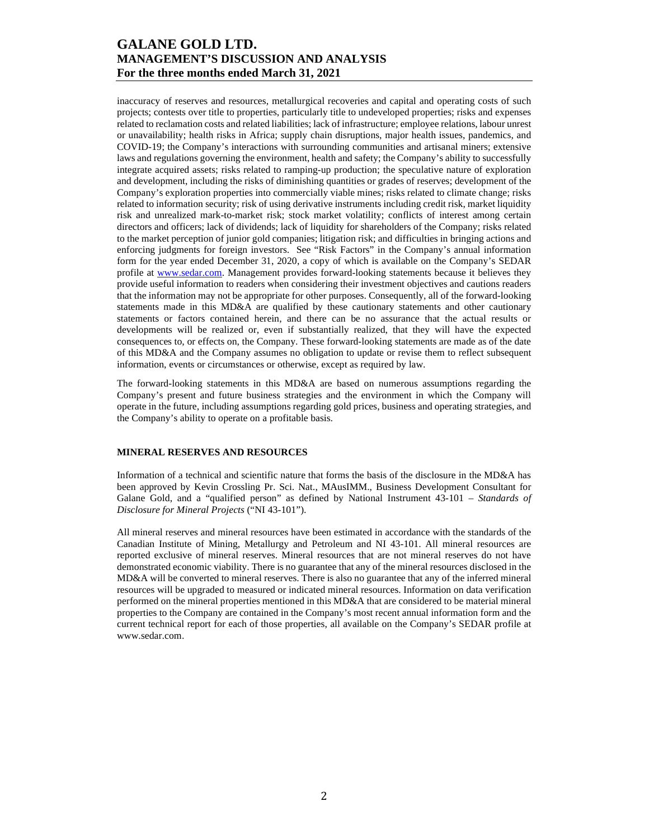inaccuracy of reserves and resources, metallurgical recoveries and capital and operating costs of such projects; contests over title to properties, particularly title to undeveloped properties; risks and expenses related to reclamation costs and related liabilities; lack of infrastructure; employee relations, labour unrest or unavailability; health risks in Africa; supply chain disruptions, major health issues, pandemics, and COVID-19; the Company's interactions with surrounding communities and artisanal miners; extensive laws and regulations governing the environment, health and safety; the Company's ability to successfully integrate acquired assets; risks related to ramping-up production; the speculative nature of exploration and development, including the risks of diminishing quantities or grades of reserves; development of the Company's exploration properties into commercially viable mines; risks related to climate change; risks related to information security; risk of using derivative instruments including credit risk, market liquidity risk and unrealized mark-to-market risk; stock market volatility; conflicts of interest among certain directors and officers; lack of dividends; lack of liquidity for shareholders of the Company; risks related to the market perception of junior gold companies; litigation risk; and difficulties in bringing actions and enforcing judgments for foreign investors. See "Risk Factors" in the Company's annual information form for the year ended December 31, 2020, a copy of which is available on the Company's SEDAR profile at www.sedar.com. Management provides forward-looking statements because it believes they provide useful information to readers when considering their investment objectives and cautions readers that the information may not be appropriate for other purposes. Consequently, all of the forward-looking statements made in this MD&A are qualified by these cautionary statements and other cautionary statements or factors contained herein, and there can be no assurance that the actual results or developments will be realized or, even if substantially realized, that they will have the expected consequences to, or effects on, the Company. These forward-looking statements are made as of the date of this MD&A and the Company assumes no obligation to update or revise them to reflect subsequent information, events or circumstances or otherwise, except as required by law.

The forward-looking statements in this MD&A are based on numerous assumptions regarding the Company's present and future business strategies and the environment in which the Company will operate in the future, including assumptions regarding gold prices, business and operating strategies, and the Company's ability to operate on a profitable basis.

## **MINERAL RESERVES AND RESOURCES**

Information of a technical and scientific nature that forms the basis of the disclosure in the MD&A has been approved by Kevin Crossling Pr. Sci. Nat., MAusIMM., Business Development Consultant for Galane Gold, and a "qualified person" as defined by National Instrument 43-101 – *Standards of Disclosure for Mineral Projects* ("NI 43-101").

All mineral reserves and mineral resources have been estimated in accordance with the standards of the Canadian Institute of Mining, Metallurgy and Petroleum and NI 43-101. All mineral resources are reported exclusive of mineral reserves. Mineral resources that are not mineral reserves do not have demonstrated economic viability. There is no guarantee that any of the mineral resources disclosed in the MD&A will be converted to mineral reserves. There is also no guarantee that any of the inferred mineral resources will be upgraded to measured or indicated mineral resources. Information on data verification performed on the mineral properties mentioned in this MD&A that are considered to be material mineral properties to the Company are contained in the Company's most recent annual information form and the current technical report for each of those properties, all available on the Company's SEDAR profile at www.sedar.com.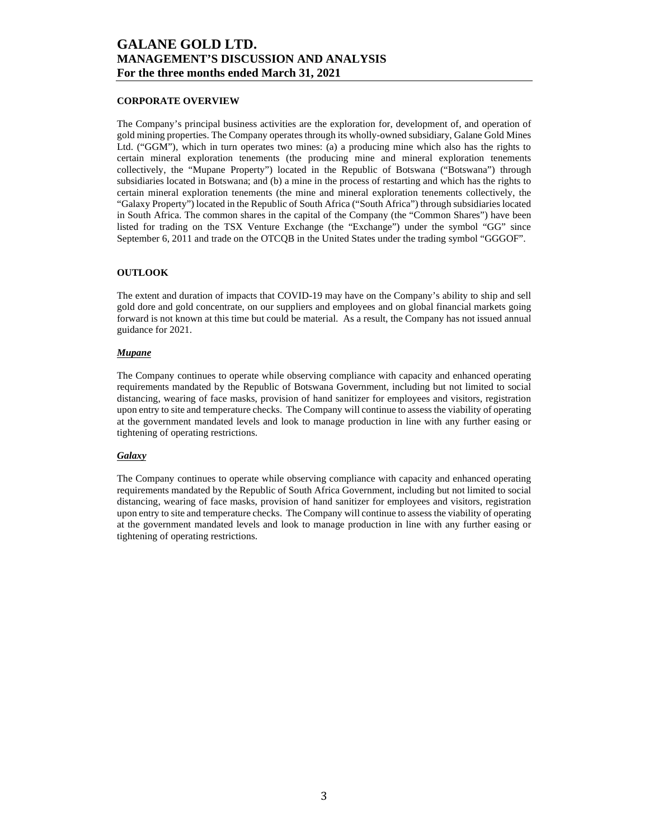### **CORPORATE OVERVIEW**

The Company's principal business activities are the exploration for, development of, and operation of gold mining properties. The Company operates through its wholly-owned subsidiary, Galane Gold Mines Ltd. ("GGM"), which in turn operates two mines: (a) a producing mine which also has the rights to certain mineral exploration tenements (the producing mine and mineral exploration tenements collectively, the "Mupane Property") located in the Republic of Botswana ("Botswana") through subsidiaries located in Botswana; and (b) a mine in the process of restarting and which has the rights to certain mineral exploration tenements (the mine and mineral exploration tenements collectively, the "Galaxy Property") located in the Republic of South Africa ("South Africa") through subsidiaries located in South Africa. The common shares in the capital of the Company (the "Common Shares") have been listed for trading on the TSX Venture Exchange (the "Exchange") under the symbol "GG" since September 6, 2011 and trade on the OTCQB in the United States under the trading symbol "GGGOF".

### **OUTLOOK**

The extent and duration of impacts that COVID-19 may have on the Company's ability to ship and sell gold dore and gold concentrate, on our suppliers and employees and on global financial markets going forward is not known at this time but could be material. As a result, the Company has not issued annual guidance for 2021.

### *Mupane*

The Company continues to operate while observing compliance with capacity and enhanced operating requirements mandated by the Republic of Botswana Government, including but not limited to social distancing, wearing of face masks, provision of hand sanitizer for employees and visitors, registration upon entry to site and temperature checks. The Company will continue to assess the viability of operating at the government mandated levels and look to manage production in line with any further easing or tightening of operating restrictions.

### *Galaxy*

The Company continues to operate while observing compliance with capacity and enhanced operating requirements mandated by the Republic of South Africa Government, including but not limited to social distancing, wearing of face masks, provision of hand sanitizer for employees and visitors, registration upon entry to site and temperature checks. The Company will continue to assess the viability of operating at the government mandated levels and look to manage production in line with any further easing or tightening of operating restrictions.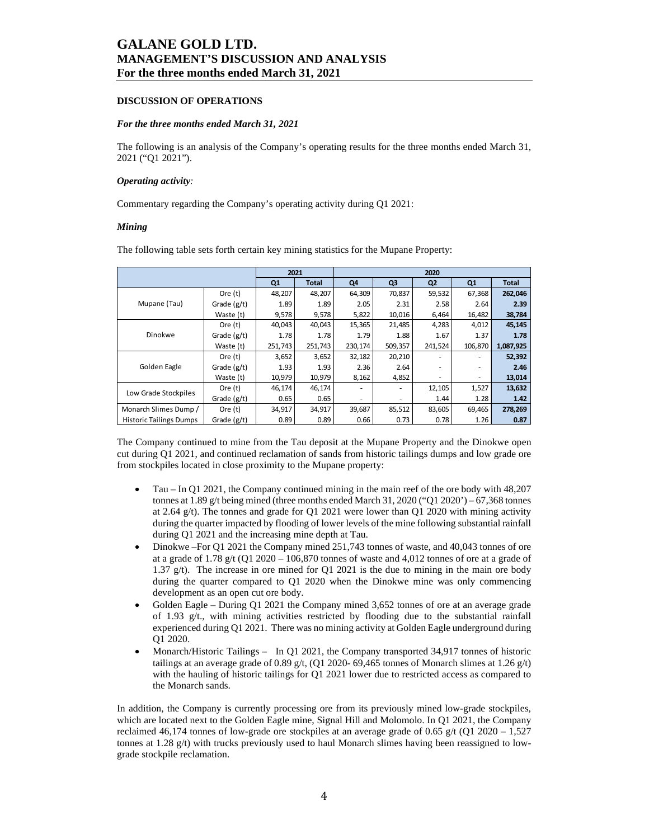### **DISCUSSION OF OPERATIONS**

### *For the three months ended March 31, 2021*

The following is an analysis of the Company's operating results for the three months ended March 31, 2021 ("Q1 2021").

### *Operating activity:*

Commentary regarding the Company's operating activity during Q1 2021:

### *Mining*

The following table sets forth certain key mining statistics for the Mupane Property:

|                                | 2021          |         | 2020         |         |                |                |         |              |
|--------------------------------|---------------|---------|--------------|---------|----------------|----------------|---------|--------------|
|                                |               | Q1      | <b>Total</b> | Q4      | Q <sub>3</sub> | Q <sub>2</sub> | Q1      | <b>Total</b> |
|                                | Ore $(t)$     | 48,207  | 48,207       | 64,309  | 70,837         | 59,532         | 67,368  | 262,046      |
| Mupane (Tau)                   | Grade $(g/t)$ | 1.89    | 1.89         | 2.05    | 2.31           | 2.58           | 2.64    | 2.39         |
|                                | Waste (t)     | 9,578   | 9,578        | 5,822   | 10,016         | 6,464          | 16,482  | 38,784       |
|                                | Ore $(t)$     | 40,043  | 40,043       | 15,365  | 21,485         | 4,283          | 4,012   | 45,145       |
| Dinokwe                        | Grade $(g/t)$ | 1.78    | 1.78         | 1.79    | 1.88           | 1.67           | 1.37    | 1.78         |
|                                | Waste (t)     | 251,743 | 251,743      | 230,174 | 509,357        | 241,524        | 106,870 | 1,087,925    |
|                                | Ore $(t)$     | 3,652   | 3,652        | 32,182  | 20,210         |                |         | 52,392       |
| Golden Eagle                   | Grade $(g/t)$ | 1.93    | 1.93         | 2.36    | 2.64           |                |         | 2.46         |
|                                | Waste (t)     | 10,979  | 10,979       | 8,162   | 4,852          | ۰              |         | 13,014       |
| Low Grade Stockpiles           | Ore $(t)$     | 46,174  | 46,174       |         |                | 12,105         | 1,527   | 13,632       |
|                                | Grade $(g/t)$ | 0.65    | 0.65         | ٠       |                | 1.44           | 1.28    | 1.42         |
| Monarch Slimes Dump /          | Ore $(t)$     | 34,917  | 34,917       | 39,687  | 85,512         | 83,605         | 69,465  | 278,269      |
| <b>Historic Tailings Dumps</b> | Grade (g/t)   | 0.89    | 0.89         | 0.66    | 0.73           | 0.78           | 1.26    | 0.87         |

The Company continued to mine from the Tau deposit at the Mupane Property and the Dinokwe open cut during Q1 2021, and continued reclamation of sands from historic tailings dumps and low grade ore from stockpiles located in close proximity to the Mupane property:

- Tau In Q1 2021, the Company continued mining in the main reef of the ore body with 48,207 tonnes at 1.89 g/t being mined (three months ended March 31, 2020 ("Q1 2020') – 67,368 tonnes at 2.64 g/t). The tonnes and grade for  $Q1 2021$  were lower than  $Q1 2020$  with mining activity during the quarter impacted by flooding of lower levels of the mine following substantial rainfall during Q1 2021 and the increasing mine depth at Tau.
- Dinokwe –For Q1 2021 the Company mined 251,743 tonnes of waste, and 40,043 tonnes of ore at a grade of 1.78 g/t (Q1 2020 – 106,870 tonnes of waste and 4,012 tonnes of ore at a grade of 1.37 g/t). The increase in ore mined for Q1 2021 is the due to mining in the main ore body during the quarter compared to Q1 2020 when the Dinokwe mine was only commencing development as an open cut ore body.
- Golden Eagle During Q1 2021 the Company mined 3,652 tonnes of ore at an average grade of 1.93 g/t., with mining activities restricted by flooding due to the substantial rainfall experienced during Q1 2021. There was no mining activity at Golden Eagle underground during Q1 2020.
- Monarch/Historic Tailings In Q1 2021, the Company transported 34,917 tonnes of historic tailings at an average grade of 0.89 g/t, (Q1 2020- 69,465 tonnes of Monarch slimes at 1.26 g/t) with the hauling of historic tailings for Q1 2021 lower due to restricted access as compared to the Monarch sands.

In addition, the Company is currently processing ore from its previously mined low-grade stockpiles, which are located next to the Golden Eagle mine, Signal Hill and Molomolo. In Q1 2021, the Company reclaimed 46,174 tonnes of low-grade ore stockpiles at an average grade of 0.65 g/t (Q1 2020 – 1,527 tonnes at 1.28 g/t) with trucks previously used to haul Monarch slimes having been reassigned to lowgrade stockpile reclamation.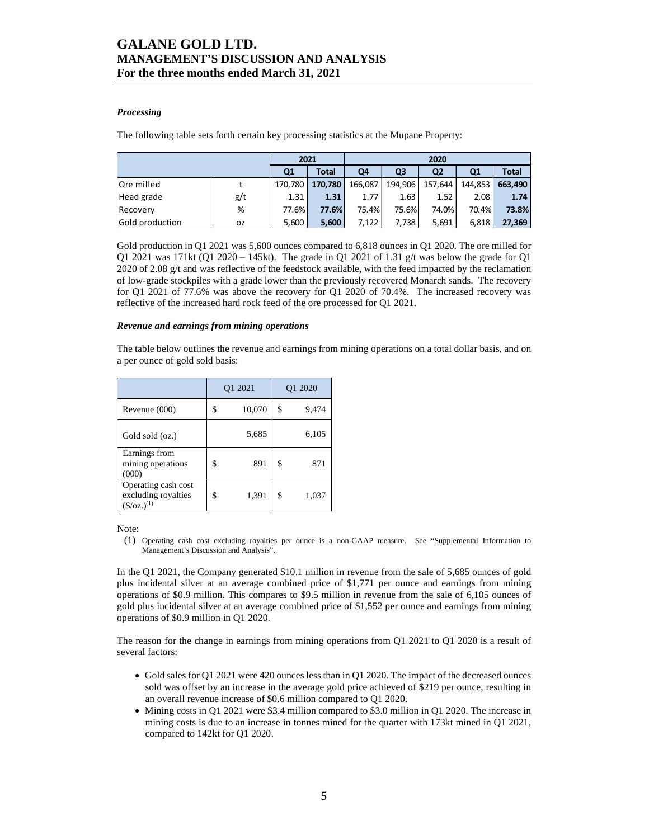### *Processing*

The following table sets forth certain key processing statistics at the Mupane Property:

|                   |     | 2021           |              |         | 2020    |                |         |              |
|-------------------|-----|----------------|--------------|---------|---------|----------------|---------|--------------|
|                   |     | Q <sub>1</sub> | <b>Total</b> | Q4      | Q3      | Q <sub>2</sub> | Q1      | <b>Total</b> |
| <b>Ore milled</b> |     | 170.780        | 170.780      | 166.087 | 194,906 | 157,644        | 144.853 | 663.490      |
| Head grade        | g/t | 1.31           | 1.31         | 1.77    | 1.63    | 1.52           | 2.08    | 1.74         |
| Recovery          | %   | 77.6%          | 77.6%        | 75.4%   | 75.6%   | 74.0%          | 70.4%   | 73.8%        |
| Gold production   | ΟZ  | 5,600          | 5.600        | 7.122   | 7.738   | 5,691          | 6.818   | 27,369       |

Gold production in Q1 2021 was 5,600 ounces compared to 6,818 ounces in Q1 2020. The ore milled for Q1 2021 was 171kt (Q1 2020 – 145kt). The grade in Q1 2021 of 1.31 g/t was below the grade for Q1 2020 of 2.08 g/t and was reflective of the feedstock available, with the feed impacted by the reclamation of low-grade stockpiles with a grade lower than the previously recovered Monarch sands. The recovery for Q1 2021 of 77.6% was above the recovery for Q1 2020 of 70.4%. The increased recovery was reflective of the increased hard rock feed of the ore processed for Q1 2021.

#### *Revenue and earnings from mining operations*

The table below outlines the revenue and earnings from mining operations on a total dollar basis, and on a per ounce of gold sold basis:

|                                                                           | Q1 2021      | Q1 2020     |
|---------------------------------------------------------------------------|--------------|-------------|
| Revenue (000)                                                             | \$<br>10,070 | \$<br>9,474 |
| Gold sold (oz.)                                                           | 5,685        | 6,105       |
| Earnings from<br>mining operations<br>(000)                               | \$<br>891    | \$<br>871   |
| Operating cash cost<br>excluding royalties<br>$(\frac{\csc(1)}{2})^{(1)}$ | \$<br>1,391  | \$<br>1,037 |

Note:

(1) Operating cash cost excluding royalties per ounce is a non-GAAP measure. See "Supplemental Information to Management's Discussion and Analysis".

In the Q1 2021, the Company generated \$10.1 million in revenue from the sale of 5,685 ounces of gold plus incidental silver at an average combined price of \$1,771 per ounce and earnings from mining operations of \$0.9 million. This compares to \$9.5 million in revenue from the sale of 6,105 ounces of gold plus incidental silver at an average combined price of \$1,552 per ounce and earnings from mining operations of \$0.9 million in Q1 2020.

The reason for the change in earnings from mining operations from Q1 2021 to Q1 2020 is a result of several factors:

- Gold sales for Q1 2021 were 420 ounces less than in Q1 2020. The impact of the decreased ounces sold was offset by an increase in the average gold price achieved of \$219 per ounce, resulting in an overall revenue increase of \$0.6 million compared to Q1 2020.
- Mining costs in Q1 2021 were \$3.4 million compared to \$3.0 million in Q1 2020. The increase in mining costs is due to an increase in tonnes mined for the quarter with 173kt mined in Q1 2021, compared to 142kt for Q1 2020.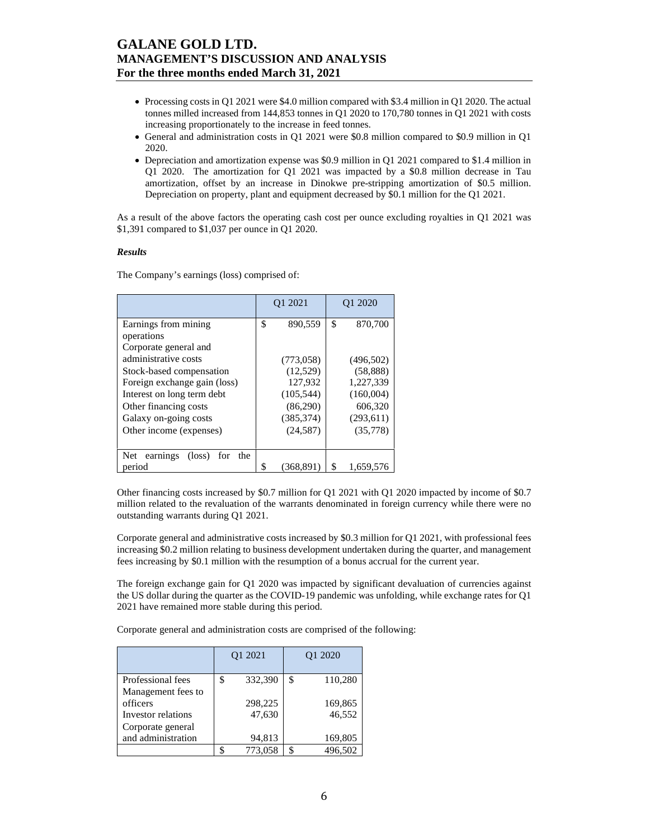- Processing costs in Q1 2021 were \$4.0 million compared with \$3.4 million in Q1 2020. The actual tonnes milled increased from 144,853 tonnes in Q1 2020 to 170,780 tonnes in Q1 2021 with costs increasing proportionately to the increase in feed tonnes.
- General and administration costs in Q1 2021 were \$0.8 million compared to \$0.9 million in Q1 2020.
- Depreciation and amortization expense was \$0.9 million in Q1 2021 compared to \$1.4 million in Q1 2020. The amortization for Q1 2021 was impacted by a \$0.8 million decrease in Tau amortization, offset by an increase in Dinokwe pre-stripping amortization of \$0.5 million. Depreciation on property, plant and equipment decreased by \$0.1 million for the Q1 2021.

As a result of the above factors the operating cash cost per ounce excluding royalties in Q1 2021 was \$1,391 compared to \$1,037 per ounce in Q1 2020.

### *Results*

The Company's earnings (loss) comprised of:

|                                                  |    | Q1 2021    | Q1 2020         |
|--------------------------------------------------|----|------------|-----------------|
| Earnings from mining                             | \$ | 890.559    | \$<br>870,700   |
| operations                                       |    |            |                 |
| Corporate general and                            |    |            |                 |
| administrative costs                             |    | (773,058)  | (496, 502)      |
| Stock-based compensation                         |    | (12,529)   | (58, 888)       |
| Foreign exchange gain (loss)                     |    | 127,932    | 1,227,339       |
| Interest on long term debt                       |    | (105, 544) | (160,004)       |
| Other financing costs                            |    | (86,290)   | 606,320         |
| Galaxy on-going costs                            |    | (385, 374) | (293, 611)      |
| Other income (expenses)                          |    | (24, 587)  | (35,778)        |
|                                                  |    |            |                 |
| Net<br>$(\text{loss})$<br>earnings<br>the<br>for |    |            |                 |
| period                                           | S  | (368.891)  | \$<br>1.659.576 |

Other financing costs increased by \$0.7 million for Q1 2021 with Q1 2020 impacted by income of \$0.7 million related to the revaluation of the warrants denominated in foreign currency while there were no outstanding warrants during Q1 2021.

Corporate general and administrative costs increased by \$0.3 million for Q1 2021, with professional fees increasing \$0.2 million relating to business development undertaken during the quarter, and management fees increasing by \$0.1 million with the resumption of a bonus accrual for the current year.

The foreign exchange gain for Q1 2020 was impacted by significant devaluation of currencies against the US dollar during the quarter as the COVID-19 pandemic was unfolding, while exchange rates for Q1 2021 have remained more stable during this period.

Corporate general and administration costs are comprised of the following:

|                    | Q1 2021 |         |    | O <sub>1</sub> 2020 |
|--------------------|---------|---------|----|---------------------|
| Professional fees  | \$      | 332,390 | \$ | 110,280             |
| Management fees to |         |         |    |                     |
| officers           |         | 298,225 |    | 169,865             |
| Investor relations |         | 47,630  |    | 46,552              |
| Corporate general  |         |         |    |                     |
| and administration |         | 94,813  |    | 169,805             |
|                    |         | 773,058 |    | 496.502             |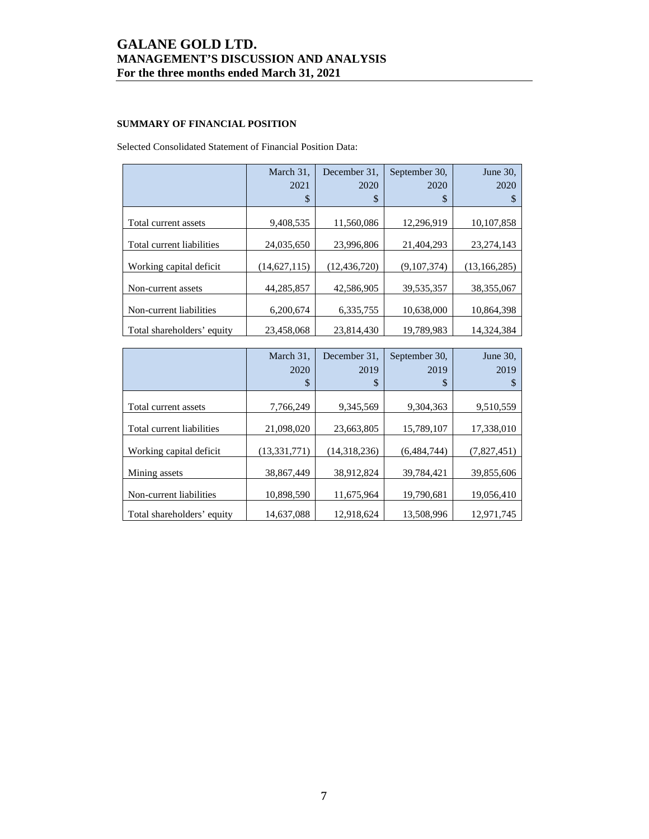## **SUMMARY OF FINANCIAL POSITION**

Selected Consolidated Statement of Financial Position Data:

|                            | March 31,<br>2021 | December 31.<br>2020 | September 30.<br>2020 | June 30,<br>2020 |
|----------------------------|-------------------|----------------------|-----------------------|------------------|
|                            | \$                | \$                   | \$                    | S                |
| Total current assets       | 9,408,535         | 11,560,086           | 12,296,919            | 10,107,858       |
| Total current liabilities  | 24,035,650        | 23,996,806           | 21,404,293            | 23, 274, 143     |
| Working capital deficit    | (14,627,115)      | (12, 436, 720)       | (9,107,374)           | (13, 166, 285)   |
| Non-current assets         | 44, 285, 857      | 42,586,905           | 39,535,357            | 38, 355, 067     |
| Non-current liabilities    | 6,200,674         | 6,335,755            | 10,638,000            | 10,864,398       |
| Total shareholders' equity | 23,458,068        | 23,814,430           | 19,789,983            | 14,324,384       |

|                            | March 31,      | December 31. | September 30, | June 30,    |
|----------------------------|----------------|--------------|---------------|-------------|
|                            | 2020           | 2019         | 2019          | 2019        |
|                            | \$             | \$           | \$            |             |
| Total current assets       | 7,766,249      | 9,345,569    | 9,304,363     | 9,510,559   |
|                            |                |              |               |             |
| Total current liabilities  | 21,098,020     | 23,663,805   | 15,789,107    | 17,338,010  |
| Working capital deficit    | (13, 331, 771) | (14,318,236) | (6,484,744)   | (7,827,451) |
| Mining assets              | 38.867.449     | 38,912,824   | 39.784.421    | 39,855,606  |
| Non-current liabilities    | 10,898,590     | 11,675,964   | 19,790,681    | 19,056,410  |
| Total shareholders' equity | 14,637,088     | 12,918,624   | 13,508,996    | 12,971,745  |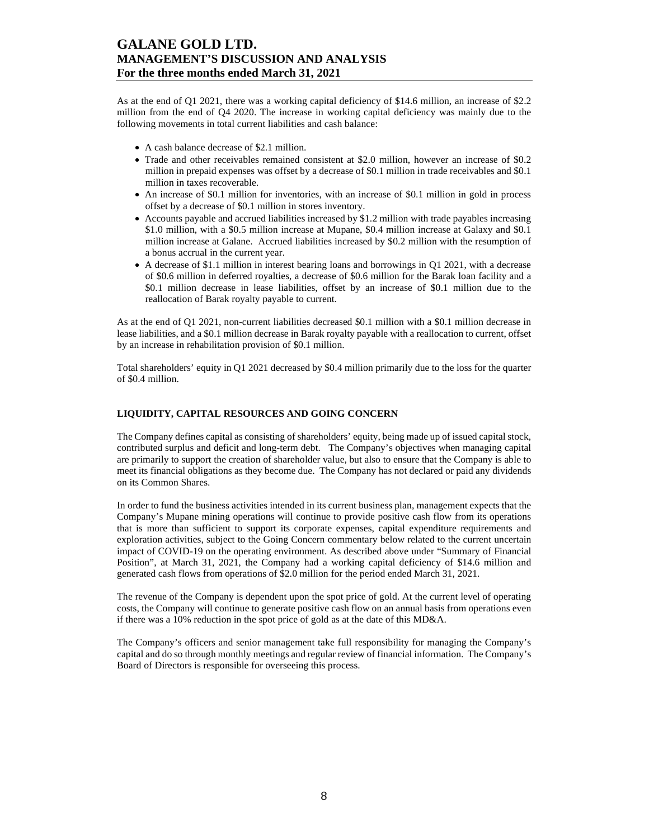As at the end of Q1 2021, there was a working capital deficiency of \$14.6 million, an increase of \$2.2 million from the end of Q4 2020. The increase in working capital deficiency was mainly due to the following movements in total current liabilities and cash balance:

- A cash balance decrease of \$2.1 million.
- Trade and other receivables remained consistent at \$2.0 million, however an increase of \$0.2 million in prepaid expenses was offset by a decrease of \$0.1 million in trade receivables and \$0.1 million in taxes recoverable.
- An increase of \$0.1 million for inventories, with an increase of \$0.1 million in gold in process offset by a decrease of \$0.1 million in stores inventory.
- Accounts payable and accrued liabilities increased by \$1.2 million with trade payables increasing \$1.0 million, with a \$0.5 million increase at Mupane, \$0.4 million increase at Galaxy and \$0.1 million increase at Galane. Accrued liabilities increased by \$0.2 million with the resumption of a bonus accrual in the current year.
- A decrease of \$1.1 million in interest bearing loans and borrowings in Q1 2021, with a decrease of \$0.6 million in deferred royalties, a decrease of \$0.6 million for the Barak loan facility and a \$0.1 million decrease in lease liabilities, offset by an increase of \$0.1 million due to the reallocation of Barak royalty payable to current.

As at the end of Q1 2021, non-current liabilities decreased \$0.1 million with a \$0.1 million decrease in lease liabilities, and a \$0.1 million decrease in Barak royalty payable with a reallocation to current, offset by an increase in rehabilitation provision of \$0.1 million.

Total shareholders' equity in Q1 2021 decreased by \$0.4 million primarily due to the loss for the quarter of \$0.4 million.

## **LIQUIDITY, CAPITAL RESOURCES AND GOING CONCERN**

The Company defines capital as consisting of shareholders' equity, being made up of issued capital stock, contributed surplus and deficit and long-term debt. The Company's objectives when managing capital are primarily to support the creation of shareholder value, but also to ensure that the Company is able to meet its financial obligations as they become due. The Company has not declared or paid any dividends on its Common Shares.

In order to fund the business activities intended in its current business plan, management expects that the Company's Mupane mining operations will continue to provide positive cash flow from its operations that is more than sufficient to support its corporate expenses, capital expenditure requirements and exploration activities, subject to the Going Concern commentary below related to the current uncertain impact of COVID-19 on the operating environment. As described above under "Summary of Financial Position", at March 31, 2021, the Company had a working capital deficiency of \$14.6 million and generated cash flows from operations of \$2.0 million for the period ended March 31, 2021.

The revenue of the Company is dependent upon the spot price of gold. At the current level of operating costs, the Company will continue to generate positive cash flow on an annual basis from operations even if there was a 10% reduction in the spot price of gold as at the date of this MD&A.

The Company's officers and senior management take full responsibility for managing the Company's capital and do so through monthly meetings and regular review of financial information. The Company's Board of Directors is responsible for overseeing this process.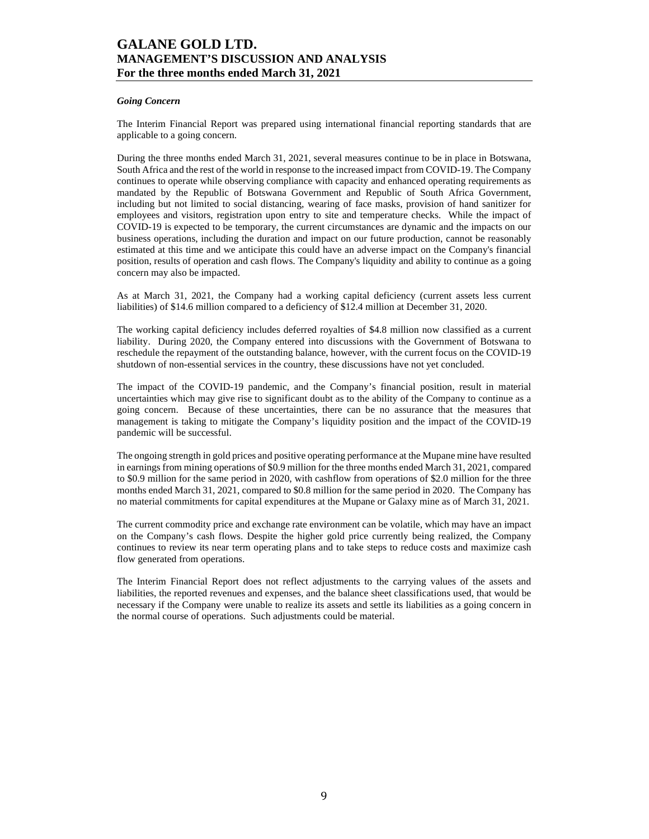### *Going Concern*

The Interim Financial Report was prepared using international financial reporting standards that are applicable to a going concern.

During the three months ended March 31, 2021, several measures continue to be in place in Botswana, South Africa and the rest of the world in response to the increased impact from COVID-19. The Company continues to operate while observing compliance with capacity and enhanced operating requirements as mandated by the Republic of Botswana Government and Republic of South Africa Government, including but not limited to social distancing, wearing of face masks, provision of hand sanitizer for employees and visitors, registration upon entry to site and temperature checks. While the impact of COVID-19 is expected to be temporary, the current circumstances are dynamic and the impacts on our business operations, including the duration and impact on our future production, cannot be reasonably estimated at this time and we anticipate this could have an adverse impact on the Company's financial position, results of operation and cash flows. The Company's liquidity and ability to continue as a going concern may also be impacted.

As at March 31, 2021, the Company had a working capital deficiency (current assets less current liabilities) of \$14.6 million compared to a deficiency of \$12.4 million at December 31, 2020.

The working capital deficiency includes deferred royalties of \$4.8 million now classified as a current liability. During 2020, the Company entered into discussions with the Government of Botswana to reschedule the repayment of the outstanding balance, however, with the current focus on the COVID-19 shutdown of non-essential services in the country, these discussions have not yet concluded.

The impact of the COVID-19 pandemic, and the Company's financial position, result in material uncertainties which may give rise to significant doubt as to the ability of the Company to continue as a going concern. Because of these uncertainties, there can be no assurance that the measures that management is taking to mitigate the Company's liquidity position and the impact of the COVID-19 pandemic will be successful.

The ongoing strength in gold prices and positive operating performance at the Mupane mine have resulted in earnings from mining operations of \$0.9 million for the three months ended March 31, 2021, compared to \$0.9 million for the same period in 2020, with cashflow from operations of \$2.0 million for the three months ended March 31, 2021, compared to \$0.8 million for the same period in 2020. The Company has no material commitments for capital expenditures at the Mupane or Galaxy mine as of March 31, 2021.

The current commodity price and exchange rate environment can be volatile, which may have an impact on the Company's cash flows. Despite the higher gold price currently being realized, the Company continues to review its near term operating plans and to take steps to reduce costs and maximize cash flow generated from operations.

The Interim Financial Report does not reflect adjustments to the carrying values of the assets and liabilities, the reported revenues and expenses, and the balance sheet classifications used, that would be necessary if the Company were unable to realize its assets and settle its liabilities as a going concern in the normal course of operations. Such adjustments could be material.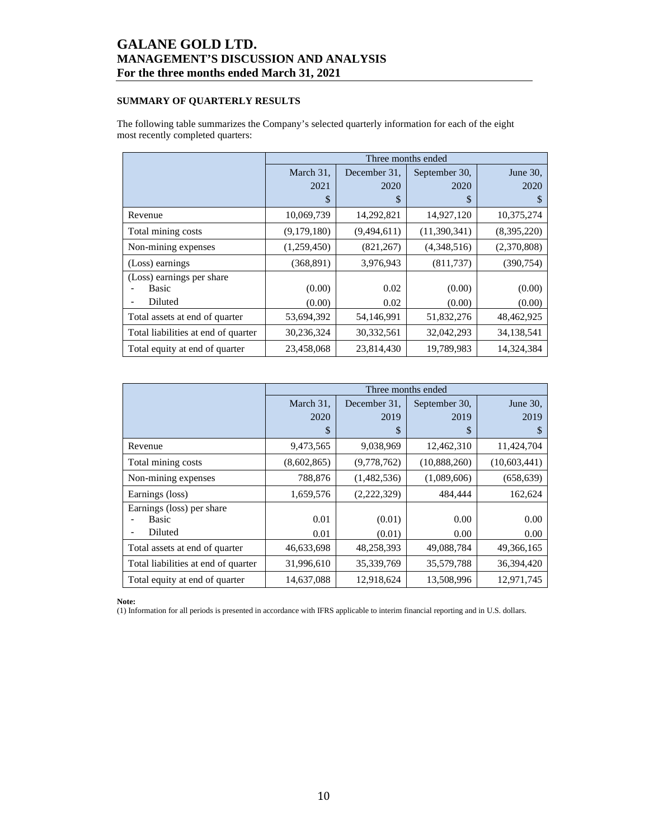## **SUMMARY OF QUARTERLY RESULTS**

The following table summarizes the Company's selected quarterly information for each of the eight most recently completed quarters:

|                                     | Three months ended |              |               |             |  |  |  |  |  |
|-------------------------------------|--------------------|--------------|---------------|-------------|--|--|--|--|--|
|                                     | March 31,          | December 31. | September 30, | June 30,    |  |  |  |  |  |
|                                     | 2021               | 2020         | 2020          | 2020        |  |  |  |  |  |
|                                     | \$                 | \$           | \$            | S           |  |  |  |  |  |
| Revenue                             | 10,069,739         | 14,292,821   | 14,927,120    | 10,375,274  |  |  |  |  |  |
| Total mining costs                  | (9,179,180)        | (9,494,611)  | (11,390,341)  | (8,395,220) |  |  |  |  |  |
| Non-mining expenses                 | (1,259,450)        | (821, 267)   | (4,348,516)   | (2,370,808) |  |  |  |  |  |
| (Loss) earnings                     | (368, 891)         | 3,976,943    | (811, 737)    | (390, 754)  |  |  |  |  |  |
| (Loss) earnings per share           |                    |              |               |             |  |  |  |  |  |
| Basic                               | (0.00)             | 0.02         | (0.00)        | (0.00)      |  |  |  |  |  |
| Diluted                             | (0.00)             | 0.02         | (0.00)        | (0.00)      |  |  |  |  |  |
| Total assets at end of quarter      | 53,694,392         | 54,146,991   | 51,832,276    | 48,462,925  |  |  |  |  |  |
| Total liabilities at end of quarter | 30,236,324         | 30,332,561   | 32,042,293    | 34,138,541  |  |  |  |  |  |
| Total equity at end of quarter      | 23,458,068         | 23,814,430   | 19,789,983    | 14,324,384  |  |  |  |  |  |

|                                     |             | Three months ended |               |              |  |
|-------------------------------------|-------------|--------------------|---------------|--------------|--|
|                                     | March 31,   | December 31.       | September 30, | June 30,     |  |
|                                     | 2020        | 2019               | 2019          | 2019         |  |
|                                     | \$          | \$                 | \$            | S            |  |
| Revenue                             | 9,473,565   | 9,038,969          | 12,462,310    | 11,424,704   |  |
| Total mining costs                  | (8,602,865) | (9,778,762)        | (10,888,260)  | (10,603,441) |  |
| Non-mining expenses                 | 788,876     | (1,482,536)        | (1,089,606)   | (658, 639)   |  |
| Earnings (loss)                     | 1,659,576   | (2,222,329)        | 484,444       | 162,624      |  |
| Earnings (loss) per share           |             |                    |               |              |  |
| <b>Basic</b>                        | 0.01        | (0.01)             | 0.00          | 0.00         |  |
| Diluted                             | 0.01        | (0.01)             | 0.00          | 0.00         |  |
| Total assets at end of quarter      | 46,633,698  | 48,258,393         | 49,088,784    | 49, 366, 165 |  |
| Total liabilities at end of quarter | 31,996,610  | 35,339,769         | 35,579,788    | 36,394,420   |  |
| Total equity at end of quarter      | 14,637,088  | 12,918,624         | 13,508,996    | 12,971,745   |  |

**Note:** 

(1) Information for all periods is presented in accordance with IFRS applicable to interim financial reporting and in U.S. dollars.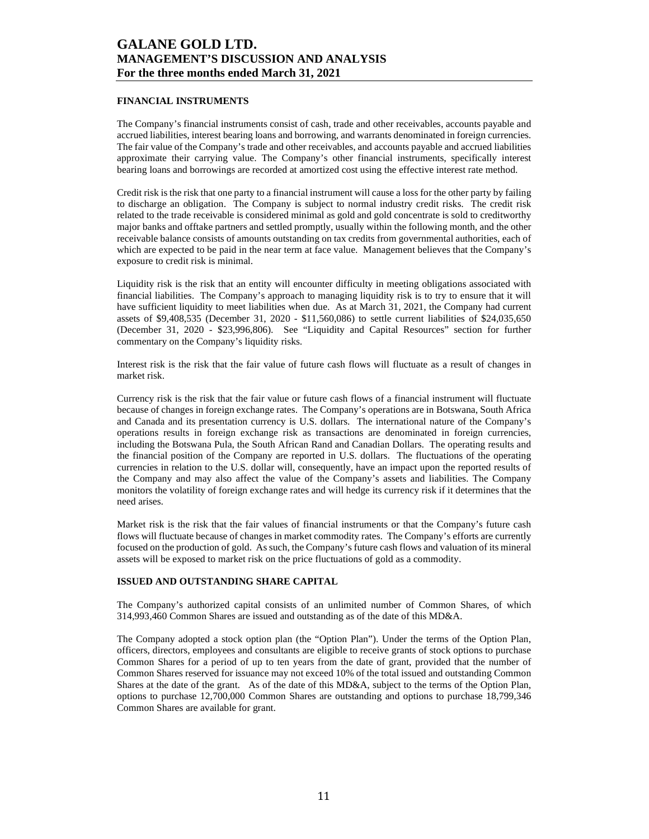### **FINANCIAL INSTRUMENTS**

The Company's financial instruments consist of cash, trade and other receivables, accounts payable and accrued liabilities, interest bearing loans and borrowing, and warrants denominated in foreign currencies. The fair value of the Company's trade and other receivables, and accounts payable and accrued liabilities approximate their carrying value. The Company's other financial instruments, specifically interest bearing loans and borrowings are recorded at amortized cost using the effective interest rate method.

Credit risk is the risk that one party to a financial instrument will cause a loss for the other party by failing to discharge an obligation. The Company is subject to normal industry credit risks. The credit risk related to the trade receivable is considered minimal as gold and gold concentrate is sold to creditworthy major banks and offtake partners and settled promptly, usually within the following month, and the other receivable balance consists of amounts outstanding on tax credits from governmental authorities, each of which are expected to be paid in the near term at face value. Management believes that the Company's exposure to credit risk is minimal.

Liquidity risk is the risk that an entity will encounter difficulty in meeting obligations associated with financial liabilities. The Company's approach to managing liquidity risk is to try to ensure that it will have sufficient liquidity to meet liabilities when due. As at March 31, 2021, the Company had current assets of \$9,408,535 (December 31, 2020 - \$11,560,086) to settle current liabilities of \$24,035,650 (December 31, 2020 - \$23,996,806). See "Liquidity and Capital Resources" section for further commentary on the Company's liquidity risks.

Interest risk is the risk that the fair value of future cash flows will fluctuate as a result of changes in market risk.

Currency risk is the risk that the fair value or future cash flows of a financial instrument will fluctuate because of changes in foreign exchange rates. The Company's operations are in Botswana, South Africa and Canada and its presentation currency is U.S. dollars. The international nature of the Company's operations results in foreign exchange risk as transactions are denominated in foreign currencies, including the Botswana Pula, the South African Rand and Canadian Dollars. The operating results and the financial position of the Company are reported in U.S. dollars. The fluctuations of the operating currencies in relation to the U.S. dollar will, consequently, have an impact upon the reported results of the Company and may also affect the value of the Company's assets and liabilities. The Company monitors the volatility of foreign exchange rates and will hedge its currency risk if it determines that the need arises.

Market risk is the risk that the fair values of financial instruments or that the Company's future cash flows will fluctuate because of changes in market commodity rates. The Company's efforts are currently focused on the production of gold. As such, the Company's future cash flows and valuation of its mineral assets will be exposed to market risk on the price fluctuations of gold as a commodity.

#### **ISSUED AND OUTSTANDING SHARE CAPITAL**

The Company's authorized capital consists of an unlimited number of Common Shares, of which 314,993,460 Common Shares are issued and outstanding as of the date of this MD&A.

The Company adopted a stock option plan (the "Option Plan"). Under the terms of the Option Plan, officers, directors, employees and consultants are eligible to receive grants of stock options to purchase Common Shares for a period of up to ten years from the date of grant, provided that the number of Common Shares reserved for issuance may not exceed 10% of the total issued and outstanding Common Shares at the date of the grant. As of the date of this MD&A, subject to the terms of the Option Plan, options to purchase 12,700,000 Common Shares are outstanding and options to purchase 18,799,346 Common Shares are available for grant.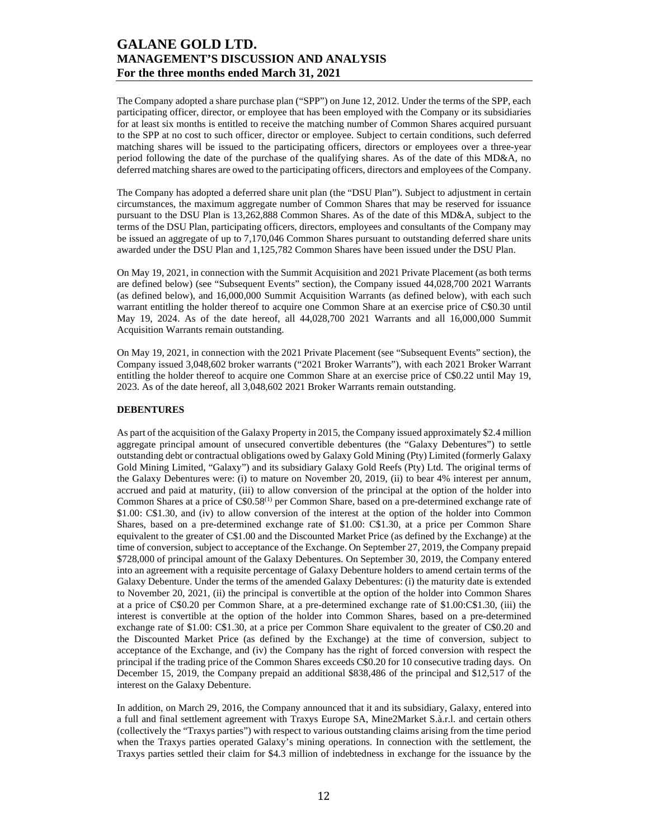The Company adopted a share purchase plan ("SPP") on June 12, 2012. Under the terms of the SPP, each participating officer, director, or employee that has been employed with the Company or its subsidiaries for at least six months is entitled to receive the matching number of Common Shares acquired pursuant to the SPP at no cost to such officer, director or employee. Subject to certain conditions, such deferred matching shares will be issued to the participating officers, directors or employees over a three-year period following the date of the purchase of the qualifying shares. As of the date of this MD&A, no deferred matching shares are owed to the participating officers, directors and employees of the Company.

The Company has adopted a deferred share unit plan (the "DSU Plan"). Subject to adjustment in certain circumstances, the maximum aggregate number of Common Shares that may be reserved for issuance pursuant to the DSU Plan is 13,262,888 Common Shares. As of the date of this MD&A, subject to the terms of the DSU Plan, participating officers, directors, employees and consultants of the Company may be issued an aggregate of up to 7,170,046 Common Shares pursuant to outstanding deferred share units awarded under the DSU Plan and 1,125,782 Common Shares have been issued under the DSU Plan.

On May 19, 2021, in connection with the Summit Acquisition and 2021 Private Placement (as both terms are defined below) (see "Subsequent Events" section), the Company issued 44,028,700 2021 Warrants (as defined below), and 16,000,000 Summit Acquisition Warrants (as defined below), with each such warrant entitling the holder thereof to acquire one Common Share at an exercise price of C\$0.30 until May 19, 2024. As of the date hereof, all 44,028,700 2021 Warrants and all 16,000,000 Summit Acquisition Warrants remain outstanding.

On May 19, 2021, in connection with the 2021 Private Placement (see "Subsequent Events" section), the Company issued 3,048,602 broker warrants ("2021 Broker Warrants"), with each 2021 Broker Warrant entitling the holder thereof to acquire one Common Share at an exercise price of C\$0.22 until May 19, 2023. As of the date hereof, all 3,048,602 2021 Broker Warrants remain outstanding.

### **DEBENTURES**

As part of the acquisition of the Galaxy Property in 2015, the Company issued approximately \$2.4 million aggregate principal amount of unsecured convertible debentures (the "Galaxy Debentures") to settle outstanding debt or contractual obligations owed by Galaxy Gold Mining (Pty) Limited (formerly Galaxy Gold Mining Limited, "Galaxy") and its subsidiary Galaxy Gold Reefs (Pty) Ltd. The original terms of the Galaxy Debentures were: (i) to mature on November 20, 2019, (ii) to bear 4% interest per annum, accrued and paid at maturity, (iii) to allow conversion of the principal at the option of the holder into Common Shares at a price of C\$0.58(1) per Common Share, based on a pre-determined exchange rate of \$1.00: C\$1.30, and (iv) to allow conversion of the interest at the option of the holder into Common Shares, based on a pre-determined exchange rate of \$1.00: C\$1.30, at a price per Common Share equivalent to the greater of C\$1.00 and the Discounted Market Price (as defined by the Exchange) at the time of conversion, subject to acceptance of the Exchange. On September 27, 2019, the Company prepaid \$728,000 of principal amount of the Galaxy Debentures. On September 30, 2019, the Company entered into an agreement with a requisite percentage of Galaxy Debenture holders to amend certain terms of the Galaxy Debenture. Under the terms of the amended Galaxy Debentures: (i) the maturity date is extended to November 20, 2021, (ii) the principal is convertible at the option of the holder into Common Shares at a price of C\$0.20 per Common Share, at a pre-determined exchange rate of \$1.00:C\$1.30, (iii) the interest is convertible at the option of the holder into Common Shares, based on a pre-determined exchange rate of \$1.00: C\$1.30, at a price per Common Share equivalent to the greater of C\$0.20 and the Discounted Market Price (as defined by the Exchange) at the time of conversion, subject to acceptance of the Exchange, and (iv) the Company has the right of forced conversion with respect the principal if the trading price of the Common Shares exceeds C\$0.20 for 10 consecutive trading days. On December 15, 2019, the Company prepaid an additional \$838,486 of the principal and \$12,517 of the interest on the Galaxy Debenture.

In addition, on March 29, 2016, the Company announced that it and its subsidiary, Galaxy, entered into a full and final settlement agreement with Traxys Europe SA, Mine2Market S.à.r.l. and certain others (collectively the "Traxys parties") with respect to various outstanding claims arising from the time period when the Traxys parties operated Galaxy's mining operations. In connection with the settlement, the Traxys parties settled their claim for \$4.3 million of indebtedness in exchange for the issuance by the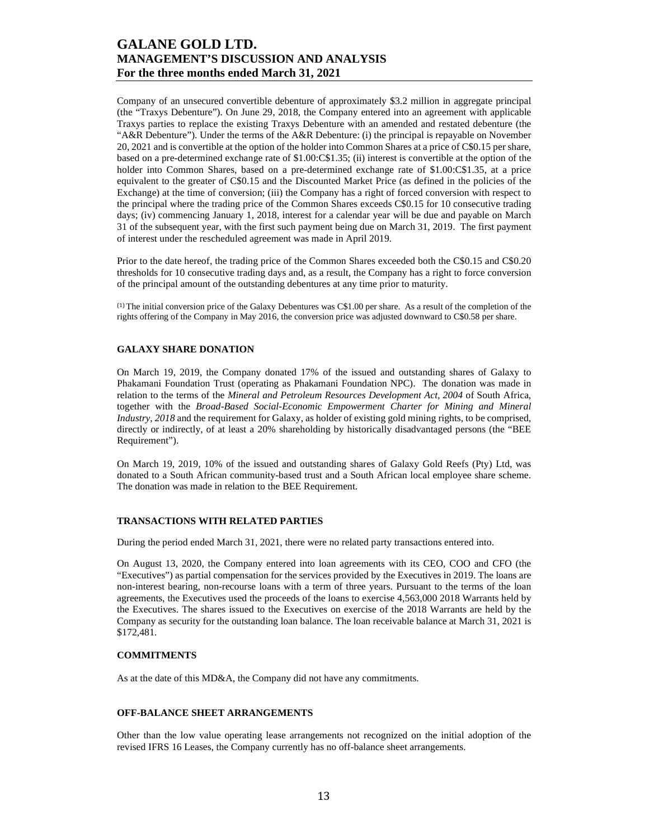Company of an unsecured convertible debenture of approximately \$3.2 million in aggregate principal (the "Traxys Debenture"). On June 29, 2018, the Company entered into an agreement with applicable Traxys parties to replace the existing Traxys Debenture with an amended and restated debenture (the "A&R Debenture"). Under the terms of the A&R Debenture: (i) the principal is repayable on November 20, 2021 and is convertible at the option of the holder into Common Shares at a price of C\$0.15 per share, based on a pre-determined exchange rate of \$1.00:C\$1.35; (ii) interest is convertible at the option of the holder into Common Shares, based on a pre-determined exchange rate of \$1.00:C\$1.35, at a price equivalent to the greater of C\$0.15 and the Discounted Market Price (as defined in the policies of the Exchange) at the time of conversion; (iii) the Company has a right of forced conversion with respect to the principal where the trading price of the Common Shares exceeds C\$0.15 for 10 consecutive trading days; (iv) commencing January 1, 2018, interest for a calendar year will be due and payable on March 31 of the subsequent year, with the first such payment being due on March 31, 2019. The first payment of interest under the rescheduled agreement was made in April 2019.

Prior to the date hereof, the trading price of the Common Shares exceeded both the C\$0.15 and C\$0.20 thresholds for 10 consecutive trading days and, as a result, the Company has a right to force conversion of the principal amount of the outstanding debentures at any time prior to maturity.

(1) The initial conversion price of the Galaxy Debentures was C\$1.00 per share. As a result of the completion of the rights offering of the Company in May 2016, the conversion price was adjusted downward to C\$0.58 per share.

## **GALAXY SHARE DONATION**

On March 19, 2019, the Company donated 17% of the issued and outstanding shares of Galaxy to Phakamani Foundation Trust (operating as Phakamani Foundation NPC). The donation was made in relation to the terms of the *Mineral and Petroleum Resources Development Act, 2004* of South Africa, together with the *Broad-Based Social-Economic Empowerment Charter for Mining and Mineral Industry, 2018* and the requirement for Galaxy, as holder of existing gold mining rights, to be comprised, directly or indirectly, of at least a 20% shareholding by historically disadvantaged persons (the "BEE Requirement").

On March 19, 2019, 10% of the issued and outstanding shares of Galaxy Gold Reefs (Pty) Ltd, was donated to a South African community-based trust and a South African local employee share scheme. The donation was made in relation to the BEE Requirement.

### **TRANSACTIONS WITH RELATED PARTIES**

During the period ended March 31, 2021, there were no related party transactions entered into.

On August 13, 2020, the Company entered into loan agreements with its CEO, COO and CFO (the "Executives") as partial compensation for the services provided by the Executives in 2019. The loans are non-interest bearing, non-recourse loans with a term of three years. Pursuant to the terms of the loan agreements, the Executives used the proceeds of the loans to exercise 4,563,000 2018 Warrants held by the Executives. The shares issued to the Executives on exercise of the 2018 Warrants are held by the Company as security for the outstanding loan balance. The loan receivable balance at March 31, 2021 is \$172,481.

### **COMMITMENTS**

As at the date of this MD&A, the Company did not have any commitments.

#### **OFF-BALANCE SHEET ARRANGEMENTS**

Other than the low value operating lease arrangements not recognized on the initial adoption of the revised IFRS 16 Leases, the Company currently has no off-balance sheet arrangements.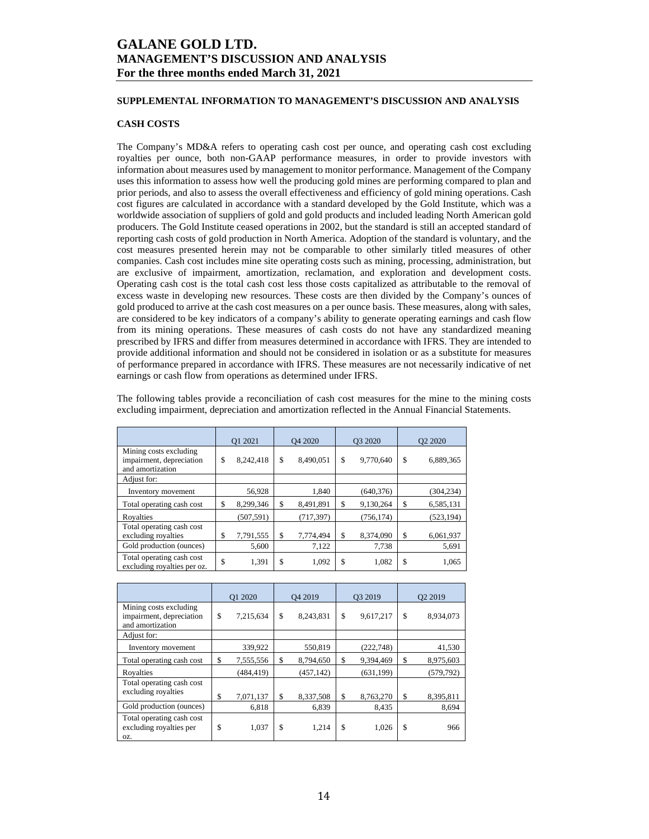## **SUPPLEMENTAL INFORMATION TO MANAGEMENT'S DISCUSSION AND ANALYSIS**

## **CASH COSTS**

The Company's MD&A refers to operating cash cost per ounce, and operating cash cost excluding royalties per ounce, both non-GAAP performance measures, in order to provide investors with information about measures used by management to monitor performance. Management of the Company uses this information to assess how well the producing gold mines are performing compared to plan and prior periods, and also to assess the overall effectiveness and efficiency of gold mining operations. Cash cost figures are calculated in accordance with a standard developed by the Gold Institute, which was a worldwide association of suppliers of gold and gold products and included leading North American gold producers. The Gold Institute ceased operations in 2002, but the standard is still an accepted standard of reporting cash costs of gold production in North America. Adoption of the standard is voluntary, and the cost measures presented herein may not be comparable to other similarly titled measures of other companies. Cash cost includes mine site operating costs such as mining, processing, administration, but are exclusive of impairment, amortization, reclamation, and exploration and development costs. Operating cash cost is the total cash cost less those costs capitalized as attributable to the removal of excess waste in developing new resources. These costs are then divided by the Company's ounces of gold produced to arrive at the cash cost measures on a per ounce basis. These measures, along with sales, are considered to be key indicators of a company's ability to generate operating earnings and cash flow from its mining operations. These measures of cash costs do not have any standardized meaning prescribed by IFRS and differ from measures determined in accordance with IFRS. They are intended to provide additional information and should not be considered in isolation or as a substitute for measures of performance prepared in accordance with IFRS. These measures are not necessarily indicative of net earnings or cash flow from operations as determined under IFRS.

The following tables provide a reconciliation of cash cost measures for the mine to the mining costs excluding impairment, depreciation and amortization reflected in the Annual Financial Statements.

|                                                                        | O1 2021         | O <sub>4</sub> 2020 |            | O3 2020 |            | O <sub>2</sub> 2020 |
|------------------------------------------------------------------------|-----------------|---------------------|------------|---------|------------|---------------------|
| Mining costs excluding<br>impairment, depreciation<br>and amortization | \$<br>8,242,418 | \$                  | 8,490,051  | \$      | 9,770,640  | \$<br>6,889,365     |
| Adjust for:                                                            |                 |                     |            |         |            |                     |
| Inventory movement                                                     | 56,928          |                     | 1.840      |         | (640, 376) | (304, 234)          |
| Total operating cash cost                                              | \$<br>8,299,346 | S                   | 8,491,891  | \$      | 9,130,264  | \$<br>6,585,131     |
| Royalties                                                              | (507, 591)      |                     | (717, 397) |         | (756, 174) | (523, 194)          |
| Total operating cash cost<br>excluding royalties                       | \$<br>7,791,555 | S                   | 7,774,494  | \$      | 8,374,090  | \$<br>6,061,937     |
| Gold production (ounces)                                               | 5,600           |                     | 7,122      |         | 7,738      | 5,691               |
| Total operating cash cost<br>excluding royalties per oz.               | \$<br>1,391     | \$                  | 1,092      | \$      | 1,082      | \$<br>1,065         |

|                                                                        | O1 2020 |            | O <sub>4</sub> 2019 |            | O3 2019 |            | O <sub>2</sub> 2019 |            |
|------------------------------------------------------------------------|---------|------------|---------------------|------------|---------|------------|---------------------|------------|
| Mining costs excluding<br>impairment, depreciation<br>and amortization | \$      | 7,215,634  | \$                  | 8,243,831  | \$      | 9,617,217  | \$                  | 8,934,073  |
| Adjust for:                                                            |         |            |                     |            |         |            |                     |            |
| Inventory movement                                                     |         | 339,922    |                     | 550,819    |         | (222, 748) |                     | 41,530     |
| Total operating cash cost                                              | \$      | 7,555,556  | \$                  | 8,794,650  | \$      | 9,394,469  | \$                  | 8,975,603  |
| Royalties                                                              |         | (484, 419) |                     | (457, 142) |         | (631, 199) |                     | (579, 792) |
| Total operating cash cost<br>excluding royalties                       | \$      | 7,071,137  | \$                  | 8,337,508  | \$      | 8,763,270  | \$                  | 8,395,811  |
| Gold production (ounces)                                               |         | 6,818      |                     | 6,839      |         | 8,435      |                     | 8,694      |
| Total operating cash cost<br>excluding royalties per<br>OZ.            | \$      | 1,037      | \$                  | 1,214      | \$      | 1,026      | \$                  | 966        |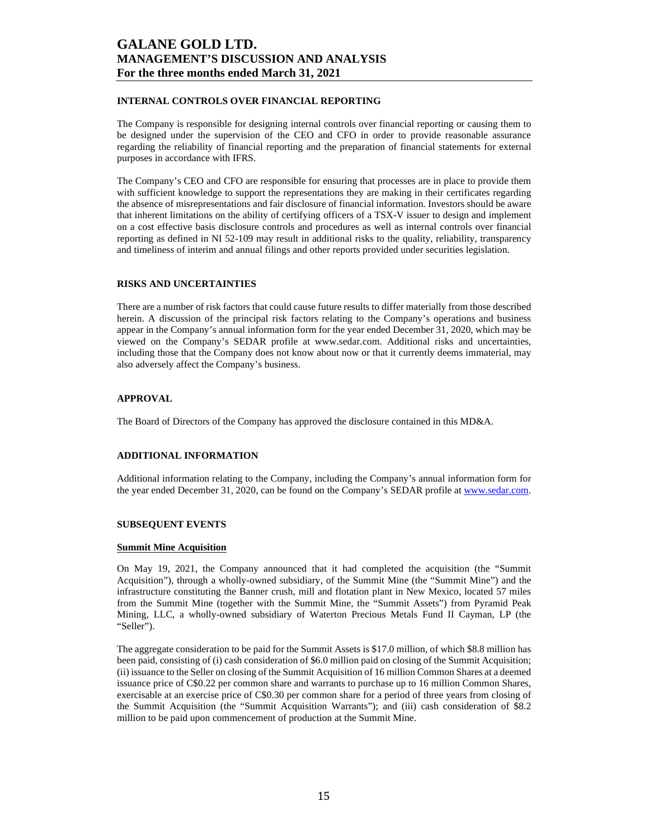## **INTERNAL CONTROLS OVER FINANCIAL REPORTING**

The Company is responsible for designing internal controls over financial reporting or causing them to be designed under the supervision of the CEO and CFO in order to provide reasonable assurance regarding the reliability of financial reporting and the preparation of financial statements for external purposes in accordance with IFRS.

The Company's CEO and CFO are responsible for ensuring that processes are in place to provide them with sufficient knowledge to support the representations they are making in their certificates regarding the absence of misrepresentations and fair disclosure of financial information. Investors should be aware that inherent limitations on the ability of certifying officers of a TSX-V issuer to design and implement on a cost effective basis disclosure controls and procedures as well as internal controls over financial reporting as defined in NI 52-109 may result in additional risks to the quality, reliability, transparency and timeliness of interim and annual filings and other reports provided under securities legislation.

### **RISKS AND UNCERTAINTIES**

There are a number of risk factors that could cause future results to differ materially from those described herein. A discussion of the principal risk factors relating to the Company's operations and business appear in the Company's annual information form for the year ended December 31, 2020, which may be viewed on the Company's SEDAR profile at www.sedar.com. Additional risks and uncertainties, including those that the Company does not know about now or that it currently deems immaterial, may also adversely affect the Company's business.

## **APPROVAL**

The Board of Directors of the Company has approved the disclosure contained in this MD&A.

### **ADDITIONAL INFORMATION**

Additional information relating to the Company, including the Company's annual information form for the year ended December 31, 2020, can be found on the Company's SEDAR profile at www.sedar.com.

### **SUBSEQUENT EVENTS**

### **Summit Mine Acquisition**

On May 19, 2021, the Company announced that it had completed the acquisition (the "Summit Acquisition"), through a wholly-owned subsidiary, of the Summit Mine (the "Summit Mine") and the infrastructure constituting the Banner crush, mill and flotation plant in New Mexico, located 57 miles from the Summit Mine (together with the Summit Mine, the "Summit Assets") from Pyramid Peak Mining, LLC, a wholly-owned subsidiary of Waterton Precious Metals Fund II Cayman, LP (the "Seller").

The aggregate consideration to be paid for the Summit Assets is \$17.0 million, of which \$8.8 million has been paid, consisting of (i) cash consideration of \$6.0 million paid on closing of the Summit Acquisition; (ii) issuance to the Seller on closing of the Summit Acquisition of 16 million Common Shares at a deemed issuance price of C\$0.22 per common share and warrants to purchase up to 16 million Common Shares, exercisable at an exercise price of C\$0.30 per common share for a period of three years from closing of the Summit Acquisition (the "Summit Acquisition Warrants"); and (iii) cash consideration of \$8.2 million to be paid upon commencement of production at the Summit Mine.